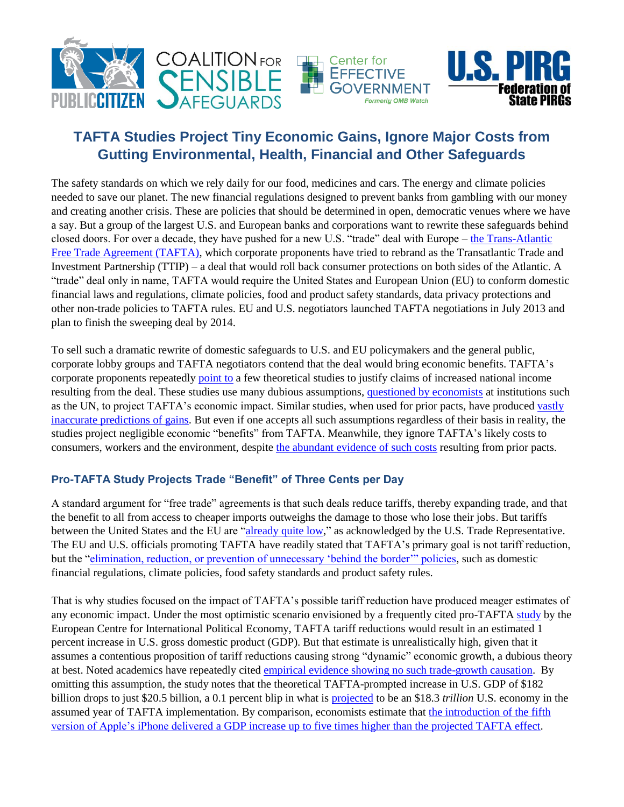

## **TAFTA Studies Project Tiny Economic Gains, Ignore Major Costs from Gutting Environmental, Health, Financial and Other Safeguards**

The safety standards on which we rely daily for our food, medicines and cars. The energy and climate policies needed to save our planet. The new financial regulations designed to prevent banks from gambling with our money and creating another crisis. These are policies that should be determined in open, democratic venues where we have a say. But a group of the largest U.S. and European banks and corporations want to rewrite these safeguards behind closed doors. For over a decade, they have pushed for a new U.S. "trade" deal with Europe – [the Trans-Atlantic](http://www.citizen.org/tafta)  [Free Trade Agreement \(TAFTA\),](http://www.citizen.org/tafta) which corporate proponents have tried to rebrand as the Transatlantic Trade and Investment Partnership (TTIP) – a deal that would roll back consumer protections on both sides of the Atlantic. A "trade" deal only in name, TAFTA would require the United States and European Union (EU) to conform domestic financial laws and regulations, climate policies, food and product safety standards, data privacy protections and other non-trade policies to TAFTA rules. EU and U.S. negotiators launched TAFTA negotiations in July 2013 and plan to finish the sweeping deal by 2014.

To sell such a dramatic rewrite of domestic safeguards to U.S. and EU policymakers and the general public, corporate lobby groups and TAFTA negotiators contend that the deal would bring economic benefits. TAFTA's corporate proponents repeatedly [point to](http://www.uschamber.com/international/agenda/transatlantic-economic-and-trade-pact) a few theoretical studies to justify claims of increased national income resulting from the deal. These studies use many dubious assumptions, [questioned by economists](http://unctad.org/en/Docs/itcdtab39_en.pdf) at institutions such as the UN, to project TAFTA's economic impact. Similar studies, when used for prior pacts, have produced [vastly](http://www.epi.org/publication/trade-pacts-korus-trans-pacific-partnership/) [inaccurate predictions](http://www.epi.org/publication/trade-pacts-korus-trans-pacific-partnership/) of gains. But even if one accepts all such assumptions regardless of their basis in reality, the studies project negligible economic "benefits" from TAFTA. Meanwhile, they ignore TAFTA's likely costs to consumers, workers and the environment, despite [the abundant evidence of such costs](http://www.citizen.org/documents/NAFTAs-Broken-Promises.pdf) resulting from prior pacts.

## **Pro-TAFTA Study Projects Trade "Benefit" of Three Cents per Day**

A standard argument for "free trade" agreements is that such deals reduce tariffs, thereby expanding trade, and that the benefit to all from access to cheaper imports outweighs the damage to those who lose their jobs. But tariffs between the United States and the EU are ["already quite low,](http://www.ustr.gov/sites/default/files/03202013%20TTIP%20Notification%20Letter.PDF)" as acknowledged by the U.S. Trade Representative. The EU and U.S. officials promoting TAFTA have readily stated that TAFTA's primary goal is not tariff reduction, but the ["elimination, reduction, or prevention of unnecessary 'behind the border'" policies,](http://www.ustr.gov/sites/default/files/02132013%20FINAL%20HLWG%20REPORT.pdf) such as domestic financial regulations, climate policies, food safety standards and product safety rules.

That is why studies focused on the impact of TAFTA's possible tariff reduction have produced meager estimates of any economic impact. Under the most optimistic scenario envisioned by a frequently cited pro-TAFTA [study](http://www.ecipe.org/media/publication_pdfs/a-transatlantic-zero-agreement-estimating-the-gains-from-transatlantic-free-trade-in-goods.pdf) by the European Centre for International Political Economy, TAFTA tariff reductions would result in an estimated 1 percent increase in U.S. gross domestic product (GDP). But that estimate is unrealistically high, given that it assumes a contentious proposition of tariff reductions causing strong "dynamic" economic growth, a dubious theory at best. Noted academics have repeatedly cited [empirical evidence showing no such trade-growth causation.](http://www.nber.org/papers/w9305.pdf) By omitting this assumption, the study notes that the theoretical TAFTA-prompted increase in U.S. GDP of \$182 billion drops to just \$20.5 billion, a 0.1 percent blip in what is [projected](https://www.cbo.gov/sites/default/files/cbofiles/attachments/44521-LTBOSuppData.xlsx) to be an \$18.3 *trillion* U.S. economy in the assumed year of TAFTA implementation. By comparison, economists estimate that [the introduction of the fifth](https://mm.jpmorgan.com/EmailPubServlet?h=-825pgod&doc=GPS-938711-0.html)  version of Apple's iPhone delivered a GDP increase up to five [times higher than the projected TAFTA effect.](https://mm.jpmorgan.com/EmailPubServlet?h=-825pgod&doc=GPS-938711-0.html)